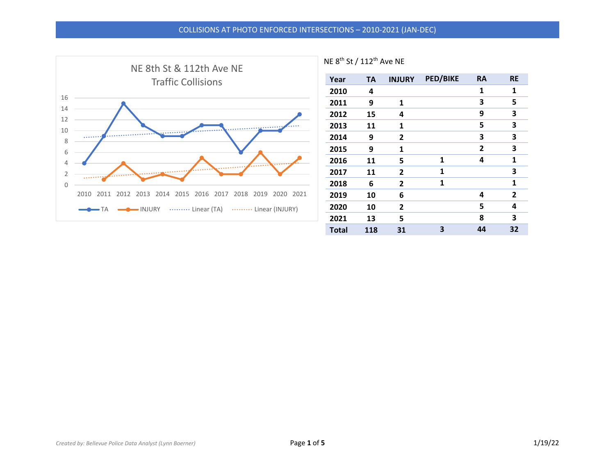

| Year         | <b>TA</b> | <b>INJURY</b> | <b>PED/BIKE</b> | <b>RA</b>    | <b>RE</b>      |
|--------------|-----------|---------------|-----------------|--------------|----------------|
| 2010         | 4         |               |                 | 1            | 1              |
| 2011         | 9         | 1             |                 | 3            | 5              |
| 2012         | 15        | 4             |                 | 9            | 3              |
| 2013         | 11        | 1             |                 | 5            | 3              |
| 2014         | 9         | 2             |                 | 3            | 3              |
| 2015         | 9         | 1             |                 | $\mathbf{2}$ | 3              |
| 2016         | 11        | 5             | 1               | 4            | 1              |
| 2017         | 11        | 2             | 1               |              | 3              |
| 2018         | 6         | 2             | 1               |              | 1              |
| 2019         | 10        | 6             |                 | 4            | $\overline{2}$ |
| 2020         | 10        | 2             |                 | 5            | 4              |
| 2021         | 13        | 5             |                 | 8            | 3              |
| <b>Total</b> | 118       | 31            | 3               | 44           | 32             |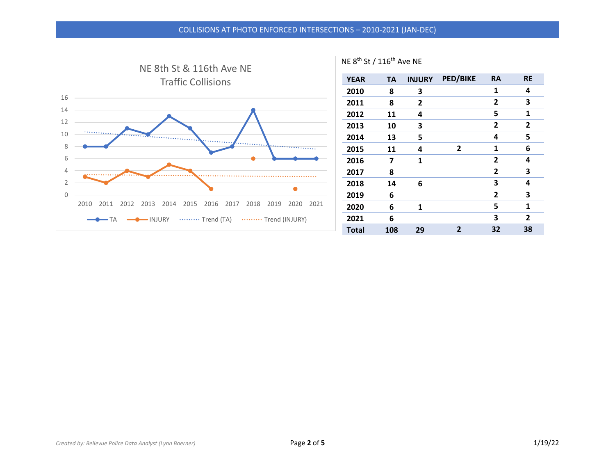## COLLISIONS AT PHOTO ENFORCED INTERSECTIONS – 2010-2021 (JAN-DEC)

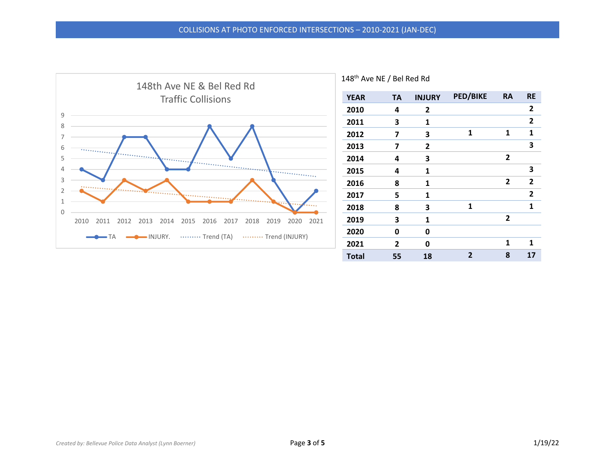

| <b>YEAR</b>  | <b>TA</b>      | <b>INJURY</b> | <b>PED/BIKE</b> | <b>RA</b> | <b>RE</b>      |
|--------------|----------------|---------------|-----------------|-----------|----------------|
| 2010         | 4              | 2             |                 |           | $\overline{2}$ |
| 2011         | 3              | 1             |                 |           | $\mathbf{2}$   |
| 2012         | 7              | 3             | 1               | 1         | 1              |
| 2013         | 7              | $\mathbf{2}$  |                 |           | 3              |
| 2014         | 4              | 3             |                 | 2         |                |
| 2015         | 4              | 1             |                 |           | 3              |
| 2016         | 8              | 1             |                 | 2         | $\overline{2}$ |
| 2017         | 5              | 1             |                 |           | $\mathbf{2}$   |
| 2018         | 8              | 3             | 1               |           | 1              |
| 2019         | 3              | 1             |                 | 2         |                |
| 2020         | 0              | 0             |                 |           |                |
| 2021         | $\overline{2}$ | 0             |                 | 1         | 1              |
| <b>Total</b> | 55             | 18            | $\overline{2}$  | 8         | 17             |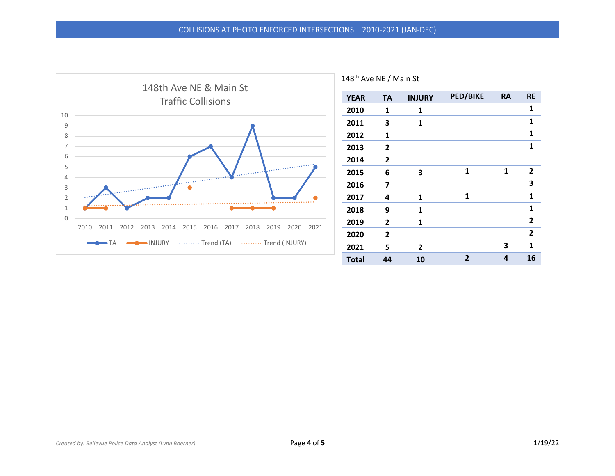

| <b>YEAR</b>  | <b>TA</b>      | <b>INJURY</b> | <b>PED/BIKE</b> | <b>RA</b> | <b>RE</b>      |
|--------------|----------------|---------------|-----------------|-----------|----------------|
| 2010         | 1              | 1             |                 |           | 1              |
| 2011         | 3              | 1             |                 |           | 1              |
| 2012         | 1              |               |                 |           | 1              |
| 2013         | $\overline{2}$ |               |                 |           | 1              |
| 2014         | $\mathbf{2}$   |               |                 |           |                |
| 2015         | 6              | 3             | 1               | 1         | $\mathbf{2}$   |
| 2016         | 7              |               |                 |           | 3              |
| 2017         | 4              | 1             | 1               |           | 1              |
| 2018         | 9              | 1             |                 |           | 1              |
| 2019         | 2              | 1             |                 |           | $\overline{2}$ |
| 2020         | $\overline{2}$ |               |                 |           | $\overline{2}$ |
| 2021         | 5              | 2             |                 | 3         | 1              |
| <b>Total</b> | 44             | 10            | $\overline{2}$  | 4         | 16             |

148<sup>th</sup> Ave NE / Main St